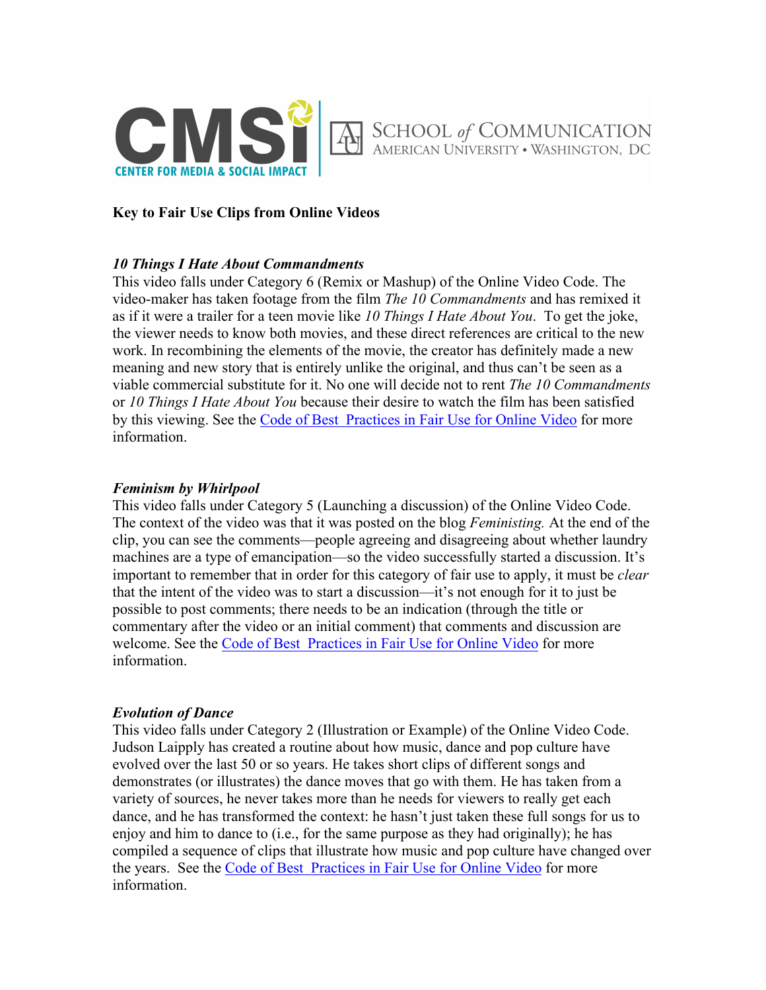

### **Key to Fair Use Clips from Online Videos**

### *10 Things I Hate About Commandments*

This video falls under Category 6 (Remix or Mashup) of the Online Video Code. The video-maker has taken footage from the film *The 10 Commandments* and has remixed it as if it were a trailer for a teen movie like *10 Things I Hate About You*. To get the joke, the viewer needs to know both movies, and these direct references are critical to the new work. In recombining the elements of the movie, the creator has definitely made a new meaning and new story that is entirely unlike the original, and thus can't be seen as a viable commercial substitute for it. No one will decide not to rent *The 10 Commandments* or *10 Things I Hate About You* because their desire to watch the film has been satisfied by this viewing. See the Code of Best Practices in Fair Use for Online Video for more information.

### *Feminism by Whirlpool*

This video falls under Category 5 (Launching a discussion) of the Online Video Code. The context of the video was that it was posted on the blog *Feministing.* At the end of the clip, you can see the comments—people agreeing and disagreeing about whether laundry machines are a type of emancipation—so the video successfully started a discussion. It's important to remember that in order for this category of fair use to apply, it must be *clear* that the intent of the video was to start a discussion—it's not enough for it to just be possible to post comments; there needs to be an indication (through the title or commentary after the video or an initial comment) that comments and discussion are welcome. See the Code of Best Practices in Fair Use for Online Video for more information.

#### *Evolution of Dance*

This video falls under Category 2 (Illustration or Example) of the Online Video Code. Judson Laipply has created a routine about how music, dance and pop culture have evolved over the last 50 or so years. He takes short clips of different songs and demonstrates (or illustrates) the dance moves that go with them. He has taken from a variety of sources, he never takes more than he needs for viewers to really get each dance, and he has transformed the context: he hasn't just taken these full songs for us to enjoy and him to dance to (i.e., for the same purpose as they had originally); he has compiled a sequence of clips that illustrate how music and pop culture have changed over the years. See the Code of Best Practices in Fair Use for Online Video for more information.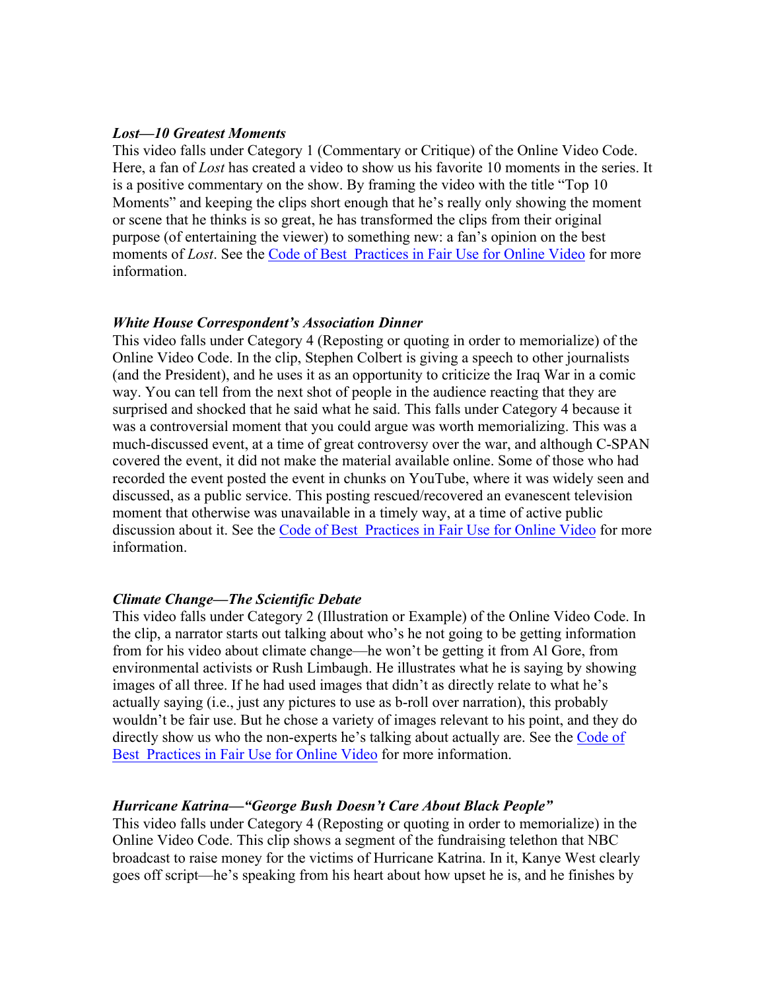#### *Lost—10 Greatest Moments*

This video falls under Category 1 (Commentary or Critique) of the Online Video Code. Here, a fan of *Lost* has created a video to show us his favorite 10 moments in the series. It is a positive commentary on the show. By framing the video with the title "Top 10 Moments" and keeping the clips short enough that he's really only showing the moment or scene that he thinks is so great, he has transformed the clips from their original purpose (of entertaining the viewer) to something new: a fan's opinion on the best moments of *Lost*. See the Code of Best Practices in Fair Use for Online Video for more information.

#### *White House Correspondent's Association Dinner*

This video falls under Category 4 (Reposting or quoting in order to memorialize) of the Online Video Code. In the clip, Stephen Colbert is giving a speech to other journalists (and the President), and he uses it as an opportunity to criticize the Iraq War in a comic way. You can tell from the next shot of people in the audience reacting that they are surprised and shocked that he said what he said. This falls under Category 4 because it was a controversial moment that you could argue was worth memorializing. This was a much-discussed event, at a time of great controversy over the war, and although C-SPAN covered the event, it did not make the material available online. Some of those who had recorded the event posted the event in chunks on YouTube, where it was widely seen and discussed, as a public service. This posting rescued/recovered an evanescent television moment that otherwise was unavailable in a timely way, at a time of active public discussion about it. See the Code of Best Practices in Fair Use for Online Video for more information.

#### *Climate Change—The Scientific Debate*

This video falls under Category 2 (Illustration or Example) of the Online Video Code. In the clip, a narrator starts out talking about who's he not going to be getting information from for his video about climate change—he won't be getting it from Al Gore, from environmental activists or Rush Limbaugh. He illustrates what he is saying by showing images of all three. If he had used images that didn't as directly relate to what he's actually saying (i.e., just any pictures to use as b-roll over narration), this probably wouldn't be fair use. But he chose a variety of images relevant to his point, and they do directly show us who the non-experts he's talking about actually are. See the Code of Best Practices in Fair Use for Online Video for more information.

#### *Hurricane Katrina—"George Bush Doesn't Care About Black People"*

This video falls under Category 4 (Reposting or quoting in order to memorialize) in the Online Video Code. This clip shows a segment of the fundraising telethon that NBC broadcast to raise money for the victims of Hurricane Katrina. In it, Kanye West clearly goes off script—he's speaking from his heart about how upset he is, and he finishes by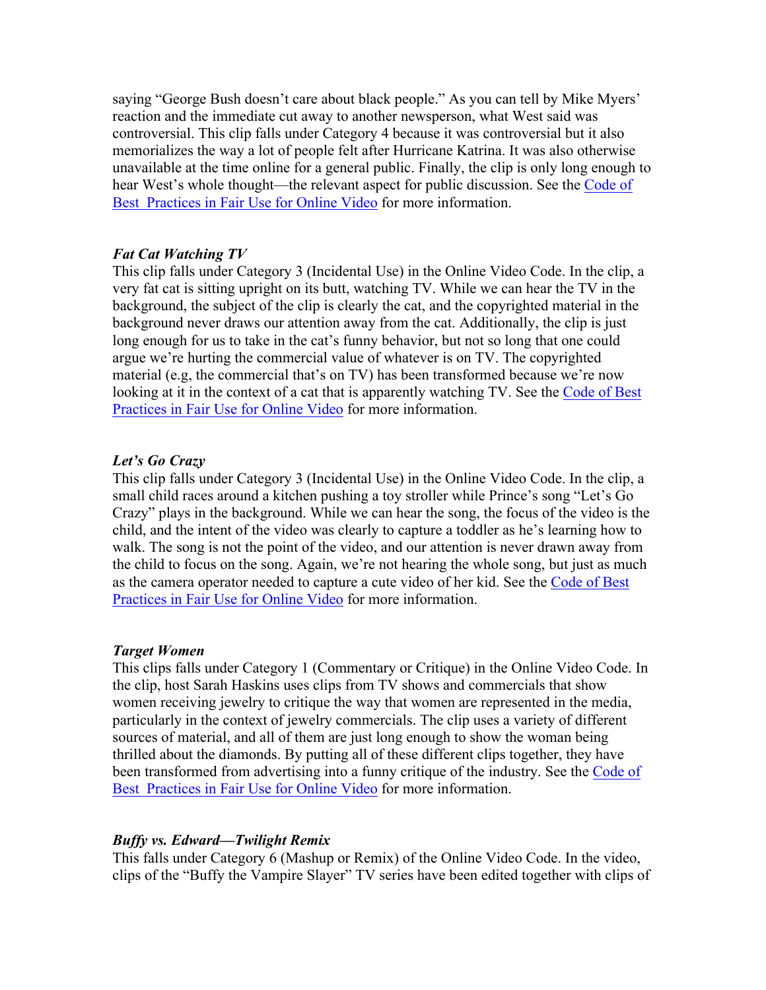saying "George Bush doesn't care about black people." As you can tell by Mike Myers' reaction and the immediate cut away to another newsperson, what West said was controversial. This clip falls under Category 4 because it was controversial but it also memorializes the way a lot of people felt after Hurricane Katrina. It was also otherwise unavailable at the time online for a general public. Finally, the clip is only long enough to hear West's whole thought—the relevant aspect for public discussion. See the Code of Best Practices in Fair Use for Online Video for more information.

## *Fat Cat Watching TV*

This clip falls under Category 3 (Incidental Use) in the Online Video Code. In the clip, a very fat cat is sitting upright on its butt, watching TV. While we can hear the TV in the background, the subject of the clip is clearly the cat, and the copyrighted material in the background never draws our attention away from the cat. Additionally, the clip is just long enough for us to take in the cat's funny behavior, but not so long that one could argue we're hurting the commercial value of whatever is on TV. The copyrighted material (e.g, the commercial that's on TV) has been transformed because we're now looking at it in the context of a cat that is apparently watching TV. See the Code of Best Practices in Fair Use for Online Video for more information.

# *Let's Go Crazy*

This clip falls under Category 3 (Incidental Use) in the Online Video Code. In the clip, a small child races around a kitchen pushing a toy stroller while Prince's song "Let's Go Crazy" plays in the background. While we can hear the song, the focus of the video is the child, and the intent of the video was clearly to capture a toddler as he's learning how to walk. The song is not the point of the video, and our attention is never drawn away from the child to focus on the song. Again, we're not hearing the whole song, but just as much as the camera operator needed to capture a cute video of her kid. See the Code of Best Practices in Fair Use for Online Video for more information.

## *Target Women*

This clips falls under Category 1 (Commentary or Critique) in the Online Video Code. In the clip, host Sarah Haskins uses clips from TV shows and commercials that show women receiving jewelry to critique the way that women are represented in the media, particularly in the context of jewelry commercials. The clip uses a variety of different sources of material, and all of them are just long enough to show the woman being thrilled about the diamonds. By putting all of these different clips together, they have been transformed from advertising into a funny critique of the industry. See the Code of Best Practices in Fair Use for Online Video for more information.

# *Buffy vs. Edward—Twilight Remix*

This falls under Category 6 (Mashup or Remix) of the Online Video Code. In the video, clips of the "Buffy the Vampire Slayer" TV series have been edited together with clips of